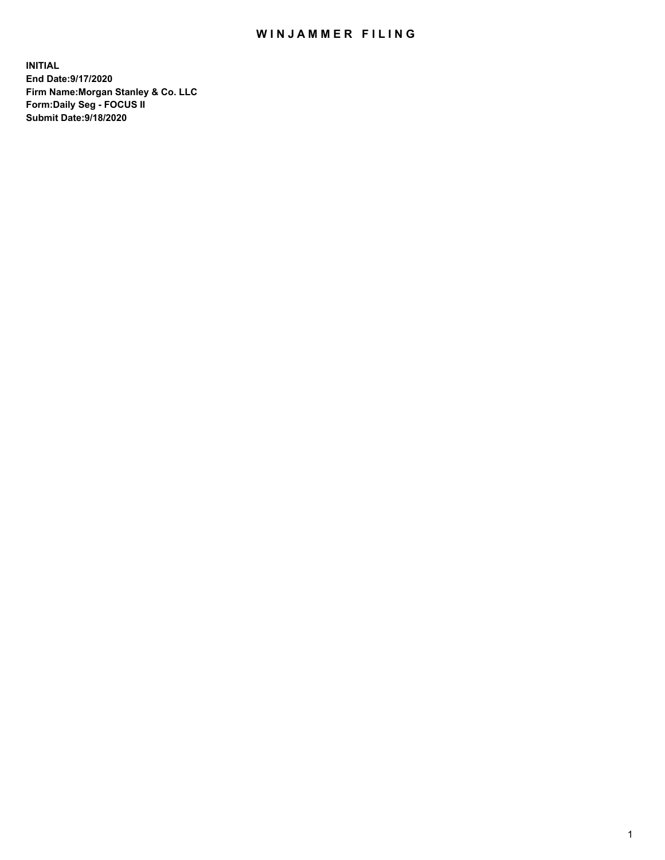## WIN JAMMER FILING

**INITIAL End Date:9/17/2020 Firm Name:Morgan Stanley & Co. LLC Form:Daily Seg - FOCUS II Submit Date:9/18/2020**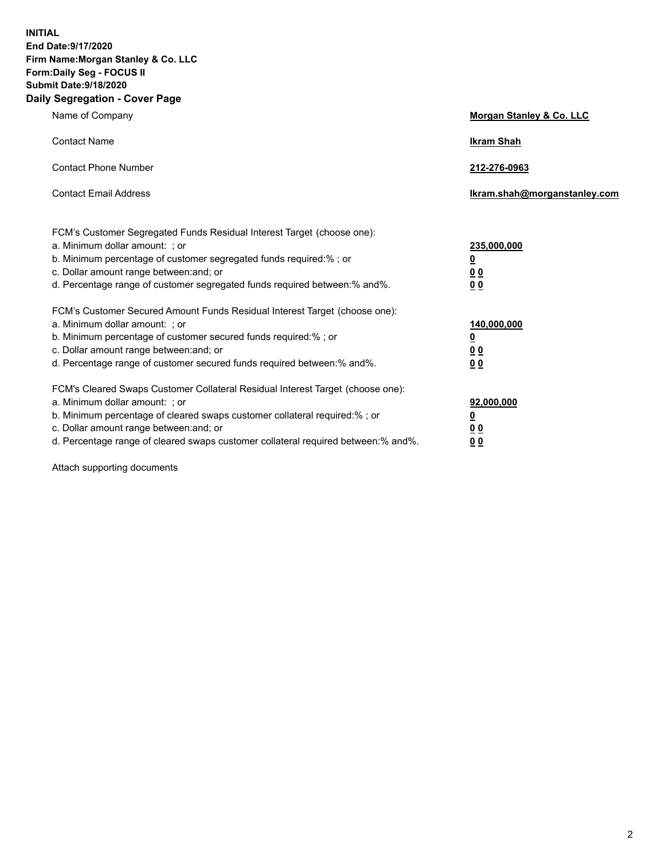**INITIAL End Date:9/17/2020 Firm Name:Morgan Stanley & Co. LLC Form:Daily Seg - FOCUS II Submit Date:9/18/2020 Daily Segregation - Cover Page**

| Name of Company                                                                                                                                                                                                                                                                                                                | Morgan Stanley & Co. LLC                                    |
|--------------------------------------------------------------------------------------------------------------------------------------------------------------------------------------------------------------------------------------------------------------------------------------------------------------------------------|-------------------------------------------------------------|
| <b>Contact Name</b>                                                                                                                                                                                                                                                                                                            | <b>Ikram Shah</b>                                           |
| <b>Contact Phone Number</b>                                                                                                                                                                                                                                                                                                    | 212-276-0963                                                |
| <b>Contact Email Address</b>                                                                                                                                                                                                                                                                                                   | Ikram.shah@morganstanley.com                                |
| FCM's Customer Segregated Funds Residual Interest Target (choose one):<br>a. Minimum dollar amount: ; or<br>b. Minimum percentage of customer segregated funds required:% ; or<br>c. Dollar amount range between: and; or<br>d. Percentage range of customer segregated funds required between:% and%.                         | 235,000,000<br><u>0</u><br><u>00</u><br>0 <sub>0</sub>      |
| FCM's Customer Secured Amount Funds Residual Interest Target (choose one):<br>a. Minimum dollar amount: ; or<br>b. Minimum percentage of customer secured funds required:% ; or<br>c. Dollar amount range between: and; or<br>d. Percentage range of customer secured funds required between:% and%.                           | 140,000,000<br><u>0</u><br>0 <sub>0</sub><br>0 <sub>0</sub> |
| FCM's Cleared Swaps Customer Collateral Residual Interest Target (choose one):<br>a. Minimum dollar amount: ; or<br>b. Minimum percentage of cleared swaps customer collateral required:% ; or<br>c. Dollar amount range between: and; or<br>d. Percentage range of cleared swaps customer collateral required between:% and%. | 92,000,000<br><u>0</u><br><u>00</u><br>00                   |

Attach supporting documents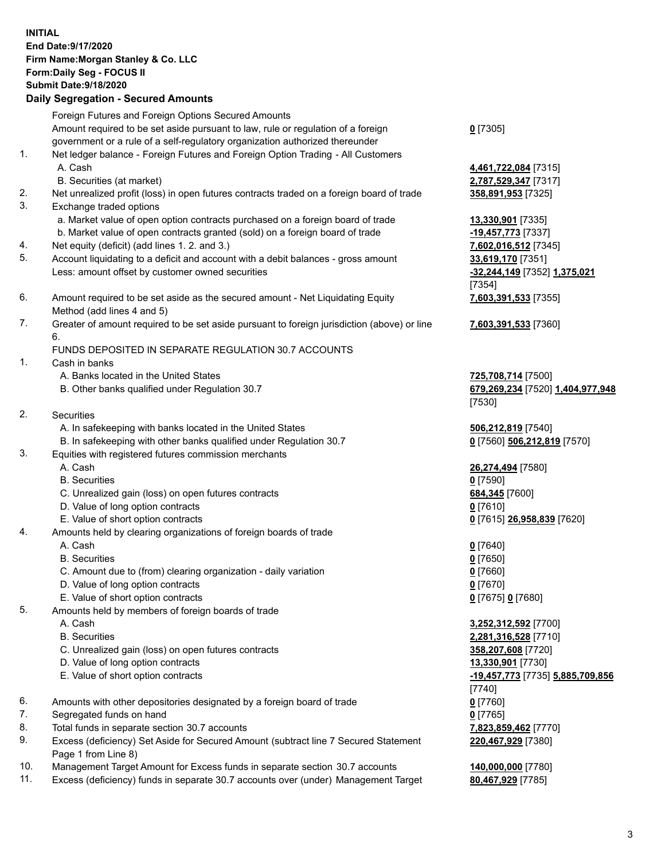| <b>INITIAL</b> | End Date: 9/17/2020<br>Firm Name: Morgan Stanley & Co. LLC<br>Form: Daily Seg - FOCUS II<br><b>Submit Date: 9/18/2020</b><br><b>Daily Segregation - Secured Amounts</b> |                                                                  |
|----------------|-------------------------------------------------------------------------------------------------------------------------------------------------------------------------|------------------------------------------------------------------|
|                | Foreign Futures and Foreign Options Secured Amounts                                                                                                                     |                                                                  |
|                | Amount required to be set aside pursuant to law, rule or regulation of a foreign<br>government or a rule of a self-regulatory organization authorized thereunder        | $0$ [7305]                                                       |
| 1.             | Net ledger balance - Foreign Futures and Foreign Option Trading - All Customers<br>A. Cash                                                                              | 4,461,722,084 [7315]                                             |
|                | B. Securities (at market)                                                                                                                                               | 2,787,529,347 [7317]                                             |
| 2.<br>3.       | Net unrealized profit (loss) in open futures contracts traded on a foreign board of trade<br>Exchange traded options                                                    | 358,891,953 [7325]                                               |
|                | a. Market value of open option contracts purchased on a foreign board of trade                                                                                          | 13,330,901 [7335]                                                |
|                | b. Market value of open contracts granted (sold) on a foreign board of trade                                                                                            | -19,457,773 [7337]                                               |
| 4.<br>5.       | Net equity (deficit) (add lines 1.2. and 3.)                                                                                                                            | 7,602,016,512 [7345]                                             |
|                | Account liquidating to a deficit and account with a debit balances - gross amount<br>Less: amount offset by customer owned securities                                   | 33,619,170 [7351]<br>-32,244,149 [7352] 1,375,021<br>[7354]      |
| 6.             | Amount required to be set aside as the secured amount - Net Liquidating Equity<br>Method (add lines 4 and 5)                                                            | 7,603,391,533 [7355]                                             |
| 7.             | Greater of amount required to be set aside pursuant to foreign jurisdiction (above) or line<br>6.                                                                       | 7,603,391,533 [7360]                                             |
|                | FUNDS DEPOSITED IN SEPARATE REGULATION 30.7 ACCOUNTS                                                                                                                    |                                                                  |
| 1.             | Cash in banks                                                                                                                                                           |                                                                  |
|                | A. Banks located in the United States<br>B. Other banks qualified under Regulation 30.7                                                                                 | 725,708,714 [7500]<br>679,269,234 [7520] 1,404,977,948<br>[7530] |
| 2.             | <b>Securities</b>                                                                                                                                                       |                                                                  |
|                | A. In safekeeping with banks located in the United States                                                                                                               | 506,212,819 [7540]                                               |
|                | B. In safekeeping with other banks qualified under Regulation 30.7                                                                                                      | 0 [7560] 506,212,819 [7570]                                      |
| 3.             | Equities with registered futures commission merchants                                                                                                                   |                                                                  |
|                | A. Cash                                                                                                                                                                 | 26,274,494 [7580]                                                |
|                | <b>B.</b> Securities                                                                                                                                                    | $0$ [7590]                                                       |
|                | C. Unrealized gain (loss) on open futures contracts                                                                                                                     | 684,345 [7600]                                                   |
|                | D. Value of long option contracts                                                                                                                                       | 0 <sup>[7610]</sup>                                              |
|                | E. Value of short option contracts                                                                                                                                      | 0 [7615] 26,958,839 [7620]                                       |
| 4.             | Amounts held by clearing organizations of foreign boards of trade<br>A. Cash                                                                                            |                                                                  |
|                | <b>B.</b> Securities                                                                                                                                                    | $0$ [7640]<br>$0$ [7650]                                         |
|                | C. Amount due to (from) clearing organization - daily variation                                                                                                         | $0$ [7660]                                                       |
|                | D. Value of long option contracts                                                                                                                                       | $0$ [7670]                                                       |
|                | E. Value of short option contracts                                                                                                                                      | 0 [7675] 0 [7680]                                                |
| 5.             | Amounts held by members of foreign boards of trade                                                                                                                      |                                                                  |
|                | A. Cash                                                                                                                                                                 | 3,252,312,592 [7700]                                             |
|                | <b>B.</b> Securities                                                                                                                                                    | 2,281,316,528 [7710]                                             |
|                | C. Unrealized gain (loss) on open futures contracts                                                                                                                     | 358,207,608 [7720]                                               |
|                | D. Value of long option contracts                                                                                                                                       | 13,330,901 [7730]                                                |
|                | E. Value of short option contracts                                                                                                                                      | -19,457,773 [7735] 5,885,709,856                                 |
|                |                                                                                                                                                                         | [7740]                                                           |
| 6.             | Amounts with other depositories designated by a foreign board of trade                                                                                                  | $0$ [7760]                                                       |
| 7.             | Segregated funds on hand                                                                                                                                                | $0$ [7765]                                                       |
| 8.<br>9.       | Total funds in separate section 30.7 accounts<br>Excess (deficiency) Set Aside for Secured Amount (subtract line 7 Secured Statement                                    | 7,823,859,462 [7770]<br>220,467,929 [7380]                       |
|                | Page 1 from Line 8)                                                                                                                                                     |                                                                  |

- 10. Management Target Amount for Excess funds in separate section 30.7 accounts **140,000,000** [7780]
- 11. Excess (deficiency) funds in separate 30.7 accounts over (under) Management Target **80,467,929** [7785]

3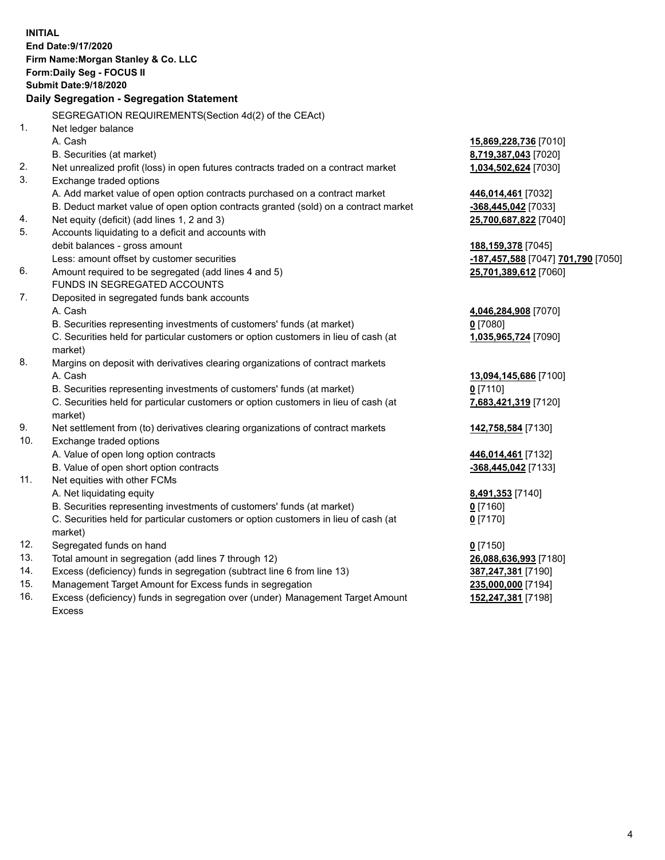|          | <b>INITIAL</b>                                                                      |                                                                                 |
|----------|-------------------------------------------------------------------------------------|---------------------------------------------------------------------------------|
|          | End Date: 9/17/2020                                                                 |                                                                                 |
|          | Firm Name: Morgan Stanley & Co. LLC                                                 |                                                                                 |
|          | Form: Daily Seg - FOCUS II                                                          |                                                                                 |
|          | <b>Submit Date: 9/18/2020</b>                                                       |                                                                                 |
|          | Daily Segregation - Segregation Statement                                           |                                                                                 |
|          |                                                                                     |                                                                                 |
|          | SEGREGATION REQUIREMENTS(Section 4d(2) of the CEAct)                                |                                                                                 |
| 1.       | Net ledger balance                                                                  |                                                                                 |
|          | A. Cash                                                                             | 15,869,228,736 [7010]                                                           |
| 2.       | B. Securities (at market)                                                           | 8,719,387,043 [7020]                                                            |
|          | Net unrealized profit (loss) in open futures contracts traded on a contract market  | 1,034,502,624 [7030]                                                            |
| 3.       | Exchange traded options                                                             |                                                                                 |
|          | A. Add market value of open option contracts purchased on a contract market         | 446,014,461 [7032]                                                              |
|          | B. Deduct market value of open option contracts granted (sold) on a contract market | -368,445,042 [7033]                                                             |
| 4.<br>5. | Net equity (deficit) (add lines 1, 2 and 3)                                         | 25,700,687,822 [7040]                                                           |
|          | Accounts liquidating to a deficit and accounts with                                 |                                                                                 |
|          | debit balances - gross amount<br>Less: amount offset by customer securities         | 188,159,378 [7045]                                                              |
| 6.       | Amount required to be segregated (add lines 4 and 5)                                | <mark>-187,457,588</mark> [7047] <b>701,790</b> [7050]<br>25,701,389,612 [7060] |
|          | FUNDS IN SEGREGATED ACCOUNTS                                                        |                                                                                 |
| 7.       | Deposited in segregated funds bank accounts                                         |                                                                                 |
|          | A. Cash                                                                             | 4,046,284,908 [7070]                                                            |
|          | B. Securities representing investments of customers' funds (at market)              | $0$ [7080]                                                                      |
|          | C. Securities held for particular customers or option customers in lieu of cash (at | 1,035,965,724 [7090]                                                            |
|          | market)                                                                             |                                                                                 |
| 8.       | Margins on deposit with derivatives clearing organizations of contract markets      |                                                                                 |
|          | A. Cash                                                                             | 13,094,145,686 [7100]                                                           |
|          | B. Securities representing investments of customers' funds (at market)              | $0$ [7110]                                                                      |
|          | C. Securities held for particular customers or option customers in lieu of cash (at | 7,683,421,319 [7120]                                                            |
|          | market)                                                                             |                                                                                 |
| 9.       | Net settlement from (to) derivatives clearing organizations of contract markets     | 142,758,584 [7130]                                                              |
| 10.      | Exchange traded options                                                             |                                                                                 |
|          | A. Value of open long option contracts                                              | 446,014,461 [7132]                                                              |
|          | B. Value of open short option contracts                                             | -368,445,042 [7133]                                                             |
| 11.      | Net equities with other FCMs                                                        |                                                                                 |
|          | A. Net liquidating equity                                                           | 8,491,353 [7140]                                                                |
|          | B. Securities representing investments of customers' funds (at market)              | $0$ [7160]                                                                      |
|          | C. Securities held for particular customers or option customers in lieu of cash (at | $0$ [7170]                                                                      |
|          | market)                                                                             |                                                                                 |
| 12.      | Segregated funds on hand                                                            | $0$ [7150]                                                                      |
| 13.      | Total amount in segregation (add lines 7 through 12)                                | 26,088,636,993 [7180]                                                           |
| 14.      | Excess (deficiency) funds in segregation (subtract line 6 from line 13)             | 387,247,381 [7190]                                                              |
| 15.      | Management Target Amount for Excess funds in segregation                            | 235,000,000 [7194]                                                              |
| 16.      | Excess (deficiency) funds in segregation over (under) Management Target Amount      | 152,247,381 [7198]                                                              |

16. Excess (deficiency) funds in segregation over (under) Management Target Amount Excess